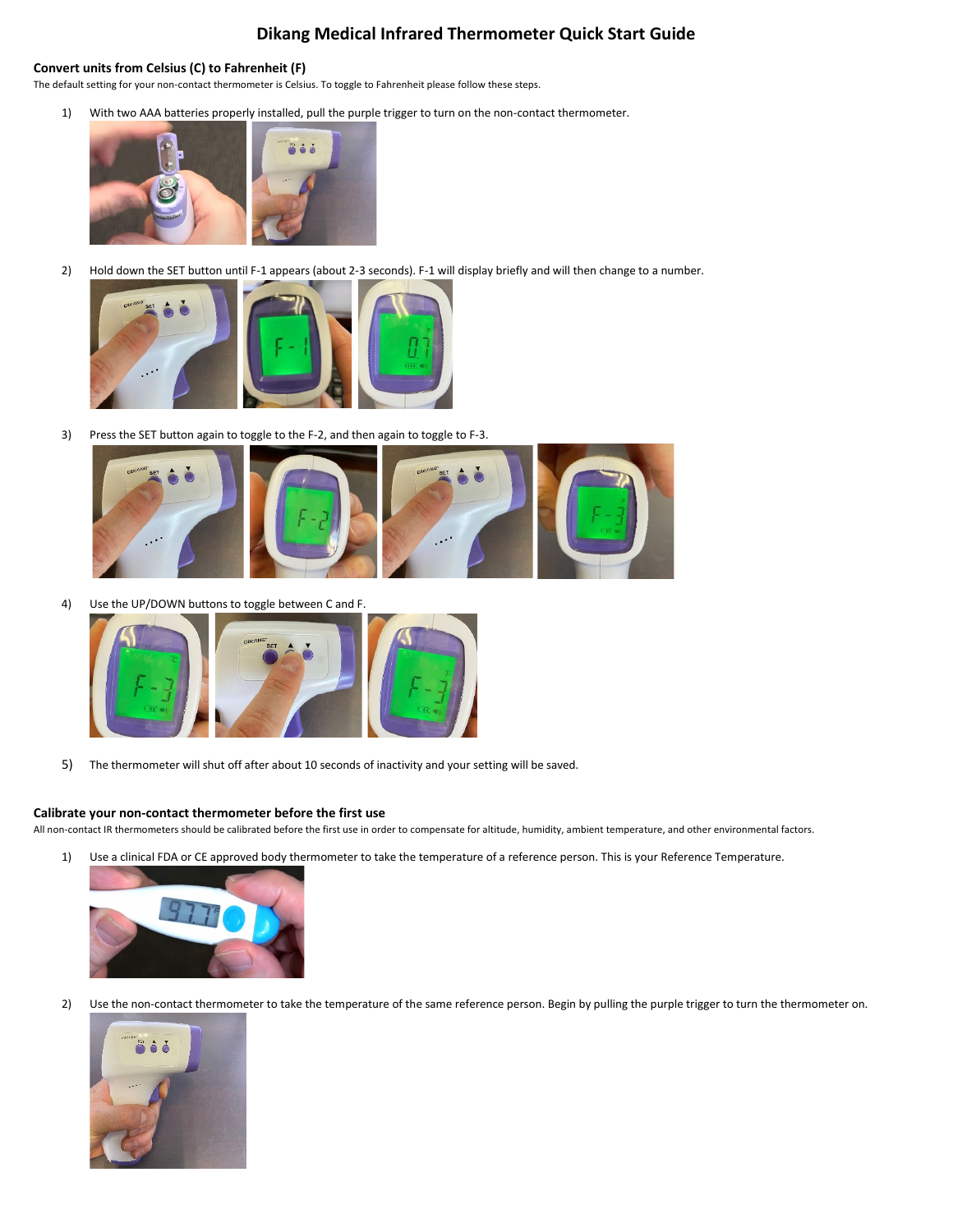## **Dikang Medical Infrared Thermometer Quick Start Guide**

## **Convert units from Celsius (C) to Fahrenheit (F)**

The default setting for your non-contact thermometer is Celsius. To toggle to Fahrenheit please follow these steps.

1) With two AAA batteries properly installed, pull the purple trigger to turn on the non-contact thermometer.



2) Hold down the SET button until F-1 appears (about 2-3 seconds). F-1 will display briefly and will then change to a number.



3) Press the SET button again to toggle to the F-2, and then again to toggle to F-3.



4) Use the UP/DOWN buttons to toggle between C and F.



5) The thermometer will shut off after about 10 seconds of inactivity and your setting will be saved.

## **Calibrate your non-contact thermometer before the first use**

All non-contact IR thermometers should be calibrated before the first use in order to compensate for altitude, humidity, ambient temperature, and other environmental factors.

1) Use a clinical FDA or CE approved body thermometer to take the temperature of a reference person. This is your Reference Temperature.



2) Use the non-contact thermometer to take the temperature of the same reference person. Begin by pulling the purple trigger to turn the thermometer on.